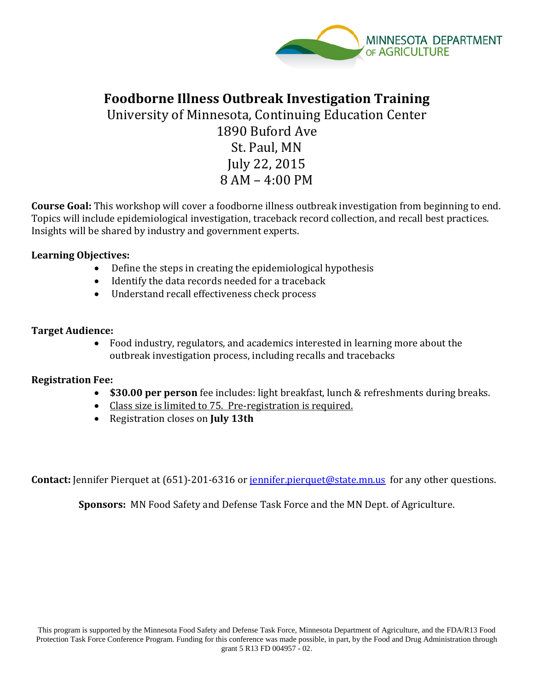

## **Foodborne Illness Outbreak Investigation Training**

University of Minnesota, Continuing Education Center 1890 Buford Ave St. Paul, MN July 22, 2015 8 AM – 4:00 PM

**Course Goal:** This workshop will cover a foodborne illness outbreak investigation from beginning to end. Topics will include epidemiological investigation, traceback record collection, and recall best practices. Insights will be shared by industry and government experts.

### **Learning Objectives:**

- Define the steps in creating the epidemiological hypothesis
- Identify the data records needed for a traceback
- Understand recall effectiveness check process

### **Target Audience:**

• Food industry, regulators, and academics interested in learning more about the outbreak investigation process, including recalls and tracebacks

## **Registration Fee:**

- **\$30.00 per person** fee includes: light breakfast, lunch & refreshments during breaks.
- Class size is limited to 75. Pre-registration is required.
- Registration closes on **July 13th**

**Contact:** Jennifer Pierquet at (651)-201-6316 or [jennifer.pierquet@state.mn.us](mailto:jennifer.pierquet@state.mn.us) for any other questions.

**Sponsors:** MN Food Safety and Defense Task Force and the MN Dept. of Agriculture.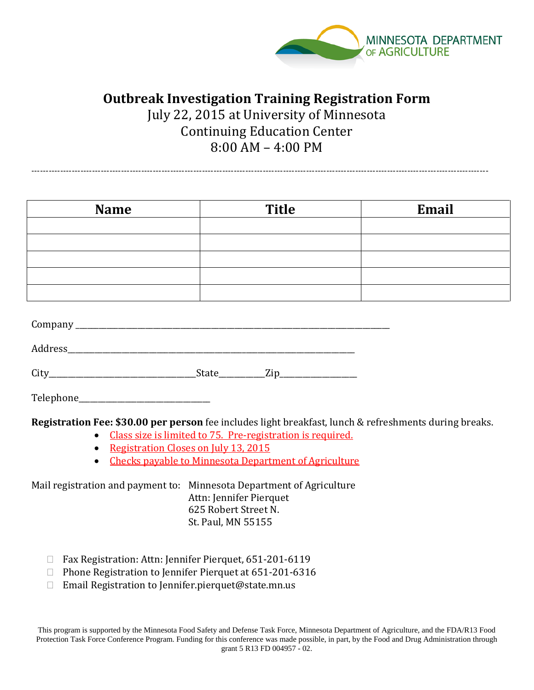

# **Outbreak Investigation Training Registration Form**

July 22, 2015 at University of Minnesota Continuing Education Center 8:00 AM – 4:00 PM

--------------------------------------------------------------------------------------------------------------------------------------------------------------

| <b>Name</b> | <b>Title</b> | Email |
|-------------|--------------|-------|
|             |              |       |
|             |              |       |
|             |              |       |
|             |              |       |
|             |              |       |
|             |              |       |
| Company     |              |       |

| $\sim$ |  |
|--------|--|
| J.     |  |

Telephone

**Registration Fee: \$30.00 per person** fee includes light breakfast, lunch & refreshments during breaks.

- Class size is limited to 75. Pre-registration is required.
- Registration Closes on July 13, 2015
- Checks payable to Minnesota Department of Agriculture

Mail registration and payment to: Minnesota Department of Agriculture Attn: Jennifer Pierquet 625 Robert Street N. St. Paul, MN 55155

- □ Fax Registration: Attn: Jennifer Pierquet, 651-201-6119
- $\Box$  Phone Registration to Jennifer Pierquet at 651-201-6316
- □ Email Registration to Jennifer.pierquet@state.mn.us